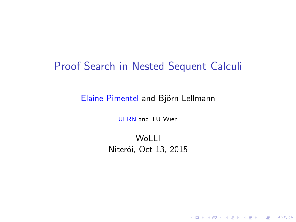## <span id="page-0-0"></span>Proof Search in Nested Sequent Calculi

Elaine Pimentel and Björn Lellmann

UFRN and TU Wien

**WoLLI** Niterói, Oct 13, 2015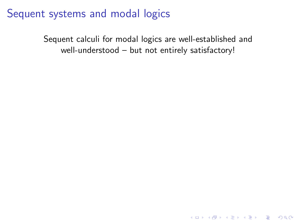Sequent calculi for modal logics are well-established and well-understood – but not entirely satisfactory!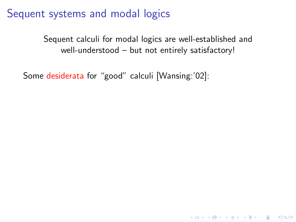Sequent calculi for modal logics are well-established and well-understood – but not entirely satisfactory!

**K ロ ▶ K @ ▶ K 할 X X 할 X 및 할 X X Q Q O** 

Some desiderata for "good" calculi [Wansing:'02]: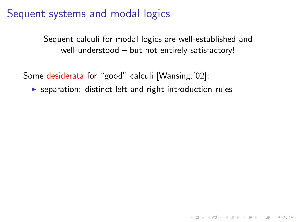Sequent calculi for modal logics are well-established and well-understood – but not entirely satisfactory!

**K ロ ▶ K @ ▶ K 할 X X 할 X 및 할 X X Q Q O** 

Some desiderata for "good" calculi [Wansing:'02]:

 $\triangleright$  separation: distinct left and right introduction rules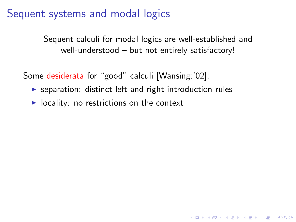Sequent calculi for modal logics are well-established and well-understood – but not entirely satisfactory!

**K ロ ▶ K @ ▶ K 할 X X 할 X 및 할 X X Q Q O** 

Some desiderata for "good" calculi [Wansing:'02]:

- $\triangleright$  separation: distinct left and right introduction rules
- $\triangleright$  locality: no restrictions on the context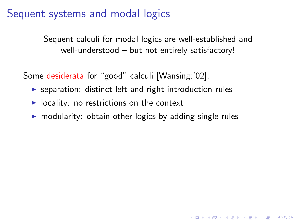Sequent calculi for modal logics are well-established and well-understood – but not entirely satisfactory!

Some desiderata for "good" calculi [Wansing:'02]:

- $\triangleright$  separation: distinct left and right introduction rules
- $\triangleright$  locality: no restrictions on the context
- $\triangleright$  modularity: obtain other logics by adding single rules

4 D > 4 P + 4 B + 4 B + B + 9 Q O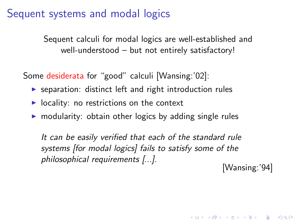Sequent calculi for modal logics are well-established and well-understood – but not entirely satisfactory!

Some desiderata for "good" calculi [Wansing:'02]:

- $\triangleright$  separation: distinct left and right introduction rules
- $\triangleright$  locality: no restrictions on the context
- $\triangleright$  modularity: obtain other logics by adding single rules

It can be easily verified that each of the standard rule systems [for modal logics] fails to satisfy some of the philosophical requirements [...].

[Wansing:'94]

KID KA KERKER KID KO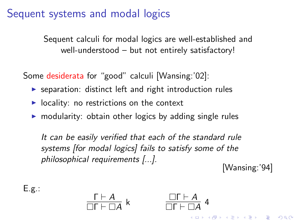Sequent calculi for modal logics are well-established and well-understood – but not entirely satisfactory!

Some desiderata for "good" calculi [Wansing:'02]:

- $\triangleright$  separation: distinct left and right introduction rules
- $\triangleright$  locality: no restrictions on the context
- $\triangleright$  modularity: obtain other logics by adding single rules

It can be easily verified that each of the standard rule systems [for modal logics] fails to satisfy some of the philosophical requirements [...].

[Wansing:'94]

**KORKAR KERKER EL VOLO** 

 $E.g.:$ 

$$
\frac{\Gamma \vdash A}{\Box \Gamma \vdash \Box A} k
$$

 $\Box \Gamma \vdash A$  $\frac{\Box \Gamma + \Box A}{\Box \Gamma + \Box A}$  4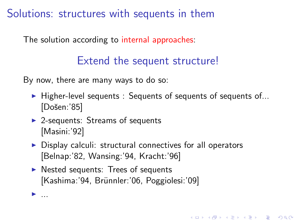Solutions: structures with sequents in them

The solution according to internal approaches:

# Extend the sequent structure!

By now, there are many ways to do so:

 $\blacktriangleright$  Higher-level sequents : Sequents of sequents of sequents of... [Došen:'85]

KID KA KERKER KID KO

 $\triangleright$  2-sequents: Streams of sequents [Masini:'92]

 $\blacktriangleright$  ....

- $\triangleright$  Display calculi: structural connectives for all operators [Belnap:'82, Wansing:'94, Kracht:'96]
- $\triangleright$  Nested sequents: Trees of sequents [Kashima:'94, Brünnler:'06, Poggiolesi:'09]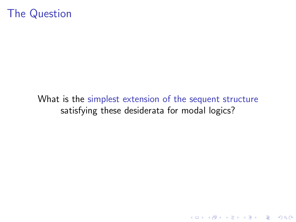# The Question

#### What is the simplest extension of the sequent structure satisfying these desiderata for modal logics?

KO KKOK KEK KEK LE I DAG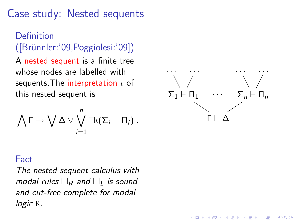# Case study: Nested sequents

#### Definition ([Br¨unnler:'09,Poggiolesi:'09])

A nested sequent is a finite tree whose nodes are labelled with sequents. The interpretation  $\iota$  of this nested sequent is

$$
\bigwedge \Gamma \to \bigvee \Delta \vee \bigvee_{i=1}^n \Box \iota(\Sigma_i \vdash \Pi_i) .
$$



**KORK STRAIN A BAR SHOP** 

#### Fact

The nested sequent calculus with modal rules  $\Box_R$  and  $\Box_L$  is sound and cut-free complete for modal logic K.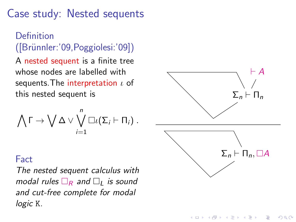# Case study: Nested sequents

#### Definition ([Br¨unnler:'09,Poggiolesi:'09])

A nested sequent is a finite tree whose nodes are labelled with sequents. The interpretation  $\iota$  of this nested sequent is

$$
\bigwedge \Gamma \to \bigvee \Delta \vee \bigvee_{i=1}^n \Box \iota(\Sigma_i \vdash \Pi_i) .
$$

# $\Sigma_n \vdash \Pi_n$  $\vdash$  A  $\Sigma_n \vdash \Pi_n, \Box A$

**KORK ERKER ADE YOUR** 

#### Fact

The nested sequent calculus with modal rules  $\Box_R$  and  $\Box_L$  is sound and cut-free complete for modal logic K.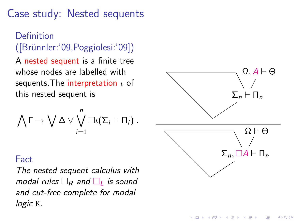# Case study: Nested sequents

#### Definition ([Br¨unnler:'09,Poggiolesi:'09])

A nested sequent is a finite tree whose nodes are labelled with sequents. The interpretation  $\iota$  of this nested sequent is

$$
\bigwedge \Gamma \to \bigvee \Delta \vee \bigvee_{i=1}^n \Box \iota(\Sigma_i \vdash \Pi_i) .
$$

#### Fact

The nested sequent calculus with modal rules  $\Box_R$  and  $\Box_L$  is sound and cut-free complete for modal logic K.



**KORK ERKER ADE YOUR**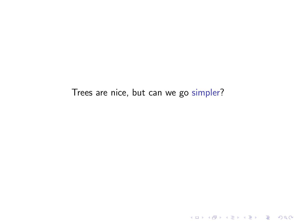Trees are nice, but can we go simpler?

K ロ ▶ K @ ▶ K 할 ▶ K 할 ▶ | 할 | 2000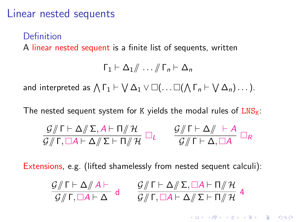#### Linear nested sequents

#### Definition

A linear nested sequent is a finite list of sequents, written

$$
\Gamma_1 \vdash \Delta_1/\!\!/ \ldots /\!\!/ \Gamma_n \vdash \Delta_n
$$

and interpreted as  $\bigwedge \Gamma_1 \vdash \bigvee \Delta_1 \vee \Box (\dots \Box (\bigwedge \Gamma_n \vdash \bigvee \Delta_n) \dots ).$ 

The nested sequent system for K yields the modal rules of  $LNS_K$ :

$$
\frac{G/\!\!/ \Gamma \vdash \Delta /\!\!/ \Sigma, A \vdash \Pi /\!\!/ \mathcal{H}}{G/\!\!/ \Gamma, \Box A \vdash \Delta /\!\!/ \Sigma \vdash \Pi /\!\!/ \mathcal{H}} \Box_L \qquad \frac{G/\!\!/ \Gamma \vdash \Delta /\!\!/ \vdash A}{G/\!\!/ \Gamma \vdash \Delta, \Box A} \Box_R
$$

Extensions, e.g. (lifted shamelessly from nested sequent calculi):

$$
\frac{\mathcal{G}/\!\!/ \Gamma \vdash \Delta/\!\!/ \,A \vdash}{\mathcal{G}/\!\!/ \Gamma,\Box A \vdash \Delta} d \qquad \frac{\mathcal{G}/\!\!/ \Gamma \vdash \Delta/\!\!/ \Sigma,\Box A \vdash \Pi/\!\!/ \, \mathcal{H}}{\mathcal{G}/\!\!/ \Gamma,\Box A \vdash \Delta/\!\!/ \Sigma \vdash \Pi/\!\!/ \mathcal{H}} 4
$$

KID KA KERKER E VOOR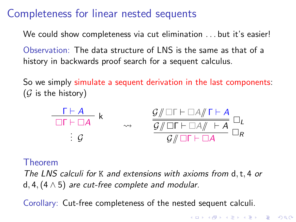# Completeness for linear nested sequents

We could show completeness via cut elimination . . . but it's easier!

Observation: The data structure of LNS is the same as that of a history in backwards proof search for a sequent calculus.

So we simply simulate a sequent derivation in the last components:  $(G$  is the history)



#### Theorem

The LNS calculi for K and extensions with axioms from d, t, 4 or d, 4,  $(4 \wedge 5)$  are cut-free complete and modular.

Corollary: Cut-free completeness of the nested sequent calculi.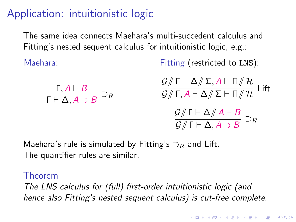# Application: intuitionistic logic

The same idea connects Maehara's multi-succedent calculus and Fitting's nested sequent calculus for intuitionistic logic, e.g.:

Maehara:

Fitting (restricted to LNS):

$$
\frac{\mathsf{F}, A \vdash B}{\mathsf{F} \vdash \Delta, A \supset B} \supset_R \frac{\mathsf{G}/\mathsf{F} \vdash \Delta/\mathsf{F}, A \vdash \Pi/\mathsf{H}}{\mathsf{G}/\mathsf{F}, A \vdash \Delta/\mathsf{F} \vdash \Pi/\mathsf{H}} \mathsf{Lift}
$$
\n
$$
\frac{\mathsf{G}/\mathsf{F} \vdash \Delta/\mathsf{F} \vdash \Pi/\mathsf{H}}{\mathsf{G}/\mathsf{F} \vdash \Delta, A \supset B} \supset_R
$$

Maehara's rule is simulated by Fitting's  $\supset_R$  and Lift. The quantifier rules are similar.

#### Theorem

The LNS calculus for (full) first-order intuitionistic logic (and hence also Fitting's nested sequent calculus) is cut-free complete.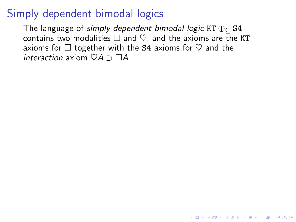# Simply dependent bimodal logics

The language of simply dependent bimodal logic KT  $\oplus_{\sub{c}}$  S4 contains two modalities  $\Box$  and  $\heartsuit$ , and the axioms are the KT axioms for  $\Box$  together with the S4 axioms for  $\heartsuit$  and the interaction axiom  $\heartsuit A \supset \Box A$ .

**K ロ ▶ K @ ▶ K 할 X X 할 X 및 할 X X Q Q O**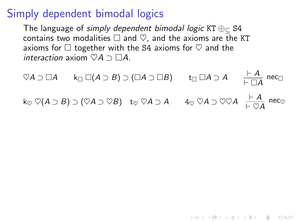## Simply dependent bimodal logics

The language of simply dependent bimodal logic KT  $\oplus_{\sub{c}}$  S4 contains two modalities  $\Box$  and  $\heartsuit$ , and the axioms are the KT axioms for  $\Box$  together with the S4 axioms for  $\heartsuit$  and the interaction axiom  $\heartsuit A \supset \Box A$ .

$$
\begin{array}{ccc}\n\heartsuit A \supset \Box A & k_{\Box} \Box (A \supset B) \supset (\Box A \supset \Box B) & t_{\Box} \Box A \supset A & \frac{\vdash A}{\vdash \Box A} \text{ nec}_{\Box} \\
k_{\heartsuit} \heartsuit (A \supset B) \supset (\heartsuit A \supset \heartsuit B) & t_{\heartsuit} \heartsuit A \supset A & 4_{\heartsuit} \heartsuit A \supset \heartsuit \heartsuit A & \frac{\vdash A}{\vdash \heartsuit A} \text{ nec}_{\heartsuit}\n\end{array}
$$

K ロ ▶ K @ ▶ K 할 > K 할 > 1 할 > 1 이익어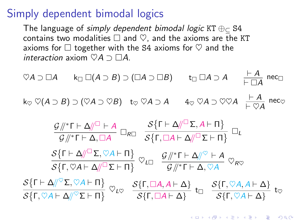## <span id="page-19-0"></span>Simply dependent bimodal logics

The language of simply dependent bimodal logic KT  $\oplus_{\sub{c}}$  S4 contains two modalities  $\Box$  and  $\heartsuit$ , and the axioms are the KT axioms for  $\Box$  together with the S4 axioms for  $\heartsuit$  and the interaction axiom  $\heartsuit A \supset \Box A$ .

$$
\nabla A \supset \Box A \qquad k_{\Box} \Box(A \supset B) \supset (\Box A \supset \Box B) \qquad t_{\Box} \Box A \supset A \qquad \frac{\vdash A}{\vdash \Box A} \text{ nec}_{\Box}
$$
  
\n
$$
k_{\heartsuit} \heartsuit(A \supset B) \supset (\heartsuit A \supset \heartsuit B) \qquad t_{\heartsuit} \heartsuit A \supset A \qquad 4_{\heartsuit} \heartsuit A \supset \heartsuit \heartsuit A \qquad \frac{\vdash A}{\vdash \heartsuit A} \text{ nec}_{\heartsuit}
$$
  
\n
$$
\frac{G/\vert * \Gamma \vdash \Delta \text{ or } S}{G/\vert * \Gamma \vdash \Delta, \Box A} \Box_{R\Box} \frac{S\{\Gamma \vdash \Delta \text{ or } \Sigma, A \vdash \Pi\}}{S\{\Gamma, \Box A \vdash \Delta \text{ or } \Box \Gamma\}} \Box_L
$$
  
\n
$$
\frac{S\{\Gamma \vdash \Delta \text{ or } \Delta \text{ or } \Box \Gamma\}}{S\{\Gamma, \heartsuit A \vdash \Delta \text{ or } \Box \Gamma\}} \heartsuit_{L\Box} \frac{G/\vert * \Gamma \vdash \Delta \text{ or } \Box A}{G/\vert * \Gamma \vdash \Delta, \heartsuit A} \heartsuit_{R\Box}
$$
  
\n
$$
\frac{S\{\Gamma \vdash \Delta \text{ or } \Sigma, \heartsuit A \vdash \Pi\}}{S\{\Gamma, \heartsuit A \vdash \Delta \text{ or } \Box \Gamma\}} \heartsuit_{L\Box} \frac{S\{\Gamma, \Box A, A \vdash \Delta\}}{S\{\Gamma, \Box A \vdash \Delta\}} \cdot t_{\Box} \frac{S\{\Gamma, \heartsuit A, A \vdash \Delta\}}{S\{\Gamma, \heartsuit A \vdash \Delta\}} \cdot t_{\heartsuit}
$$

K ロ ▶ K @ ▶ K 할 > K 할 > 1 할 > 1 이익어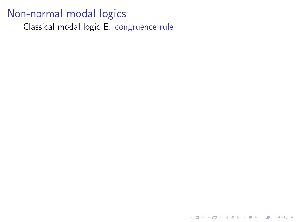<span id="page-20-0"></span>Classical modal logic E: congruence rule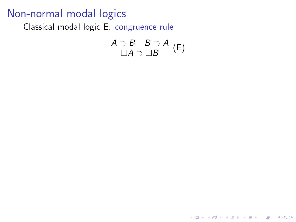Classical modal logic E: congruence rule

$$
\frac{A \supset B \quad B \supset A}{\Box A \supset \Box B} (E)
$$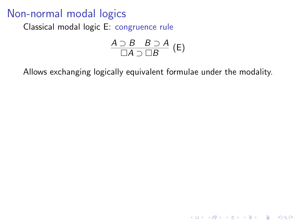Classical modal logic E: congruence rule

$$
\frac{A \supset B \quad B \supset A}{\Box A \supset \Box B} (E)
$$

Allows exchanging logically equivalent formulae under the modality.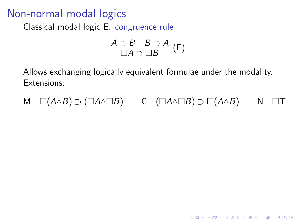Classical modal logic E: congruence rule

$$
\frac{A \supset B \quad B \supset A}{\Box A \supset \Box B} \text{ (E)}
$$

Allows exchanging logically equivalent formulae under the modality. Extensions:

$$
M \square(A \wedge B) \supset (\square A \wedge \square B) \qquad C \square (A \wedge \square B) \supset \square (A \wedge B) \qquad N \square T
$$

**K ロ ▶ K @ ▶ K 할 X X 할 X 및 할 X X Q Q O**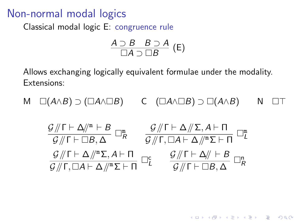<span id="page-24-0"></span>Classical modal logic E: congruence rule

$$
\frac{A \supset B \quad B \supset A}{\Box A \supset \Box B} \text{ (E)}
$$

Allows exchanging logically equivalent formulae under the modality. Extensions:

$$
M \quad \Box(A \land B) \supset (\Box A \land \Box B) \qquad C \quad (\Box A \land \Box B) \supset \Box(A \land B) \qquad N \quad \Box \top
$$

$$
\frac{G/\!\!/ \Gamma \vdash \Delta/\!\!/^m \vdash B}{G/\!\!/ \Gamma \vdash \Box B, \Delta} \square_R^m \qquad \frac{G/\!\!/ \Gamma \vdash \Delta/\!\!/ \Sigma, A \vdash \Pi}{G/\!\!/ \Gamma, \Box A \vdash \Delta/\!\!/^m \Sigma \vdash \Pi} \square_L^m
$$
  

$$
\frac{G/\!\!/ \Gamma \vdash \Delta/\!\!/^m \Sigma, A \vdash \Pi}{G/\!\!/ \Gamma, \Box A \vdash \Delta/\!\!/^m \Sigma \vdash \Pi} \square_L^c \qquad \frac{G/\!\!/ \Gamma \vdash \Delta/\!\!/ \vdash B}{G/\!\!/ \Gamma \vdash \Box B, \Delta} \square_R^n
$$

**K ロ ▶ K @ ▶ K 할 X X 할 X 및 할 X X Q Q O**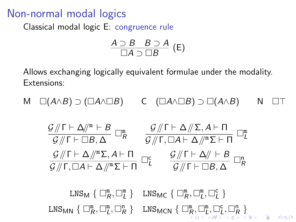Classical modal logic E: congruence rule

$$
\frac{A \supset B \quad B \supset A}{\Box A \supset \Box B} (E)
$$

Allows exchanging logically equivalent formulae under the modality. Extensions:

$$
M \quad \Box(A \land B) \supset (\Box A \land \Box B) \qquad C \quad (\Box A \land \Box B) \supset \Box(A \land B) \qquad N \quad \Box \top
$$

$$
\frac{G/\!\!/ \Gamma \vdash \Delta/\!\!/^m \vdash B}{G/\!\!/ \Gamma \vdash \Box B, \Delta} \square_R^m \qquad \frac{G/\!\!/ \Gamma \vdash \Delta/\!\!/ \Sigma, A \vdash \Pi}{G/\!\!/ \Gamma, \Box A \vdash \Delta/\!\!/^m \Sigma \vdash \Pi} \square_L^m
$$
  

$$
\frac{G/\!\!/ \Gamma \vdash \Delta/\!\!/^m \Sigma, A \vdash \Pi}{G/\!\!/ \Gamma, \Box A \vdash \Delta/\!\!/^m \Sigma \vdash \Pi} \square_L^c \qquad \frac{G/\!\!/ \Gamma \vdash \Delta/\!\!/ \vdash B}{G/\!\!/ \Gamma \vdash \Box B, \Delta} \square_R^n
$$

 $\text{LNS}_M \{ \Box_R^m, \Box_L^m \}$   $\text{LNS}_{MC} \{ \Box_R^m, \Box_L^m, \Box_L^c \}$  $\text{LNS}_{\text{M}\text{N}}\ \{\ \Box_R^{\text{m}}, \Box_L^{\text{m}}, \Box_R^{\text{n}}\ \}$  $\text{LNS}_{\text{M}\text{N}}\ \{\ \Box_R^{\text{m}}, \Box_L^{\text{m}}, \Box_R^{\text{n}}\ \}$  $\text{LNS}_{\text{M}\text{N}}\ \{\ \Box_R^{\text{m}}, \Box_L^{\text{m}}, \Box_R^{\text{n}}\ \}$  $\text{LNS}_{\text{M}\text{N}}\ \{\ \Box_R^{\text{m}}, \Box_L^{\text{m}}, \Box_R^{\text{n}}\ \}$  $\text{LNS}_{\text{M}\text{N}}\ \{\ \Box_R^{\text{m}}, \Box_L^{\text{m}}, \Box_R^{\text{n}}\ \}$   $\text{LNS}_{\text{M}\text{C}\text{N}}\ \{\ \Box_R^{\text{m}}, \Box_L^{\text{m}}, \Box_L^{\text{c}}, \Box_R^{\text{n}}\ \}$  $L, \sqcup_L, \sqcup_R$  $L, \sqcup_L, \sqcup_R$  $L, \sqcup_L, \sqcup_R$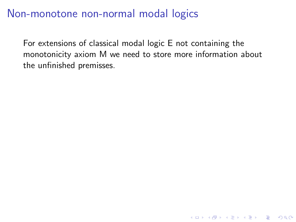## <span id="page-26-0"></span>Non-monotone non-normal modal logics

For extensions of classical modal logic E not containing the monotonicity axiom M we need to store more information about the unfinished premisses.

K ロ ▶ K @ ▶ K 할 > K 할 > 1 할 > 1 이익어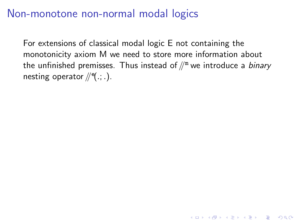## Non-monotone non-normal modal logics

For extensions of classical modal logic E not containing the monotonicity axiom M we need to store more information about the unfinished premisses. Thus instead of  $\mathbb{N}^m$  we introduce a *binary* nesting operator  $/\hspace{-1.5pt}/$   $\mathsf{P}(\cdot;\cdot)$ .

**K ロ ▶ K @ ▶ K 할 X X 할 X 및 할 X X Q Q O**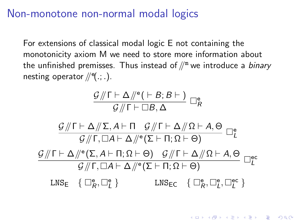#### Non-monotone non-normal modal logics

For extensions of classical modal logic E not containing the monotonicity axiom M we need to store more information about the unfinished premisses. Thus instead of  $\mathbb{N}^m$  we introduce a *binary* nesting operator  $/\hspace{-1.5pt}/$   $\mathsf{P}(\cdot;\cdot)$ .

$$
\frac{\mathcal{G} /\!\!/ \Gamma \vdash \Delta /\!\!/^{\rm e}(\vdash B; B\vdash)}{\mathcal{G} /\!\!/ \Gamma \vdash \Box B, \Delta} \; \Box^{\rm e}_R
$$

$$
\frac{\mathcal{G}/\!\!/ \Gamma\vdash\Delta/\!\!/ \Sigma,A\vdash\Pi\quad \mathcal{G}/\!\!/ \Gamma\vdash\Delta/\!\!/ \Omega\vdash A,\Theta}{\mathcal{G}/\!\!/ \Gamma,\Box A\vdash\Delta/\!\!/^e(\Sigma\vdash\Pi;\Omega\vdash\Theta)}\quad \Box_L^e
$$
\n
$$
\frac{\mathcal{G}/\!\!/ \Gamma\vdash\Delta/\!\!/^e(\Sigma,A\vdash\Pi;\Omega\vdash\Theta)\quad \mathcal{G}/\!\!/ \Gamma\vdash\Delta/\!\!/ \Omega\vdash A,\Theta}{\mathcal{G}/\!\!/ \Gamma,\Box A\vdash\Delta/\!\!/^e(\Sigma\vdash\Pi;\Omega\vdash\Theta)}\quad \Box_L^{\text{ec}}
$$
\n
$$
\text{LNS}_{\text{E}}\quad \left\{\begin{array}{ccc}\Box_{R}^{\text{e}},\Box_{L}^{\text{e}}\end{array}\right\} \qquad \text{LNS}_{\text{EC}}\quad \left\{\begin{array}{ccc}\Box_{R}^{\text{e}},\Box_{L}^{\text{e}}\end{array}\right\}
$$

**KORKAR KERKER EL VOLO**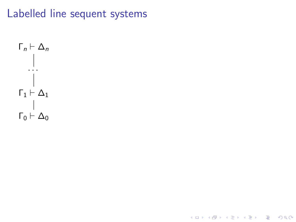# Labelled line sequent systems

K ロ ▶ K @ ▶ K 할 ▶ K 할 ▶ | 할 | 2000

$$
\begin{array}{c}\n\Gamma_n \vdash \Delta_n \\
\vdots \\
\Gamma_1 \vdash \Delta_1 \\
\vdots \\
\Gamma_0 \vdash \Delta_0\n\end{array}
$$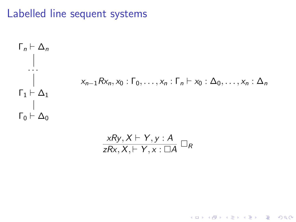# Labelled line sequent systems

$$
\begin{array}{l}\n\Gamma_n \vdash \Delta_n \\
\vdots \\
\Gamma_1 \vdash \Delta_1 \\
\Gamma_0 \vdash \Delta_0\n\end{array}
$$
\n
$$
x_{n-1} R x_n, x_0 : \Gamma_0, \ldots, x_n : \Gamma_n \vdash x_0 : \Delta_0, \ldots, x_n : \Delta_n
$$

$$
\frac{xRy, X \vdash Y, y : A}{zRx, X \vdash Y, x : \Box A} \Box_R
$$

K ロ ▶ K @ ▶ K 할 ▶ K 할 ▶ | 할 | 2000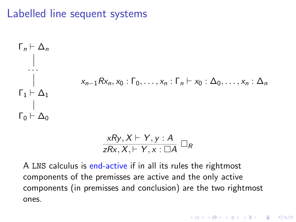# <span id="page-31-0"></span>Labelled line sequent systems

$$
\begin{array}{l}\n\Gamma_n \vdash \Delta_n \\
\vdots \\
\Gamma_1 \vdash \Delta_1 \\
\Gamma_0 \vdash \Delta_0\n\end{array}
$$
\n
$$
x_{n-1} R x_n, x_0 : \Gamma_0, \ldots, x_n : \Gamma_n \vdash x_0 : \Delta_0, \ldots, x_n : \Delta_n
$$

$$
\frac{xRy, X \vdash Y, y : A}{zRx, X \vdash Y, x : \Box A} \Box_R
$$

A LNS calculus is end-active if in all its rules the rightmost components of the premisses are active and the only active components (in premisses and conclusion) are the two rightmost ones.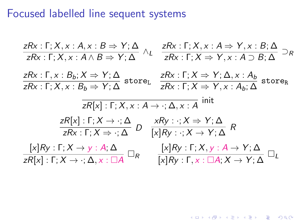## <span id="page-32-0"></span>Focused labelled line sequent systems

$$
\frac{zRx:\Gamma; X, x:A, x:B \Rightarrow Y;\Delta}{zRx:\Gamma; X, x:A \land B \Rightarrow Y;\Delta} \land_{L} \frac{zRx:\Gamma; X, x:A \Rightarrow Y, x:B;\Delta}{zRx:\Gamma; X \Rightarrow Y, x:A \supset B;\Delta} \supset_R
$$
\n
$$
\frac{zRx:\Gamma, x:B_b; X \Rightarrow Y;\Delta}{zRx:\Gamma; X, x:B_b \Rightarrow Y;\Delta} \text{ store}_{L} \frac{zRx:\Gamma; X \Rightarrow Y;\Delta, x:A_b}{zRx:\Gamma; X \Rightarrow Y, x:A_b;\Delta} \text{ store}_{R}
$$
\n
$$
\frac{zR[x]:\Gamma; X, x:A \rightarrow : \Delta, x:A \text{ init}}{zRx:\Gamma; X \Rightarrow Y,\Delta} \text{ init}
$$
\n
$$
\frac{zR[x]:\Gamma; X \rightarrow : \Delta}{zRx:\Gamma; X \Rightarrow : \Delta} D \frac{xRy: \cdot; X \Rightarrow Y;\Delta}{[x]Ry: \cdot; X \rightarrow Y;\Delta} R
$$
\n
$$
\frac{[x]Ry:\Gamma; X \rightarrow y:A;\Delta}{zR[x]:\Gamma; X \rightarrow : \Delta, x:\Box A} \Box_{R} \frac{[x]Ry:\Gamma; X, y:A \rightarrow Y;\Delta}{[x]Ry:\Gamma; x:\Box A; X \rightarrow Y;\Delta} \Box_{L}
$$

K ロ ▶ K @ ▶ K 할 ▶ K 할 ▶ | 할 | ⊙Q @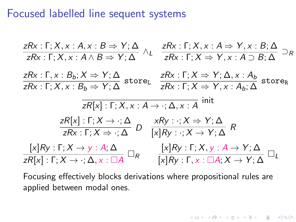#### <span id="page-33-0"></span>Focused labelled line sequent systems

$$
\frac{zRx: \Gamma; X, x: A, x: B \Rightarrow Y; \Delta}{zRx: \Gamma; X, x: A \land B \Rightarrow Y; \Delta} \land_{L} \frac{zRx: \Gamma; X, x: A \Rightarrow Y, x: B; \Delta}{zRx: \Gamma; X \Rightarrow Y, x: A \supset B; \Delta} \supset_R
$$
\n
$$
\frac{zRx: \Gamma, x: B_b: X \Rightarrow Y; \Delta}{zRx: \Gamma; X, x: B_b \Rightarrow Y; \Delta} \text{ store}_{L} \frac{zRx: \Gamma; X \Rightarrow Y; \Delta, x: A_b}{zRx: \Gamma; X \Rightarrow Y, x: A_b; \Delta} \text{ store}_{R}
$$
\n
$$
\frac{zR[x]: \Gamma; X, x: A \rightarrow \cdot; \Delta, x: A}{zRx: \Gamma; X \Rightarrow Y, \Delta} \text{ into}
$$
\n
$$
\frac{zR[x]: \Gamma; X \rightarrow \cdot; \Delta}{zRx: \Gamma; X \Rightarrow \cdot; \Delta} D \frac{xRy: \cdot; X \Rightarrow Y; \Delta}{[x]Ry: \cdot; X \rightarrow Y; \Delta} R
$$
\n
$$
\frac{[x]Ry: \Gamma; X \rightarrow y: A; \Delta}{zR[x]: \Gamma; X \rightarrow \cdot; \Delta, x: \Box A} \Box_R \frac{[x]Ry: \Gamma; X, y: A \rightarrow Y; \Delta}{[x]Ry: \Gamma; X, y: A \rightarrow Y; \Delta} \Box_L
$$

Focusing effectively blocks derivations where propositional rules are applied between modal ones.

**K ロ ▶ K @ ▶ K 할 X X 할 X 및 할 X X Q Q O**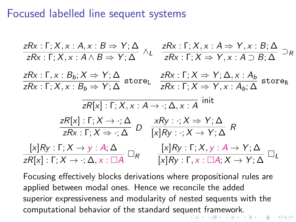#### <span id="page-34-0"></span>Focused labelled line sequent systems

$$
\frac{zRx: \Gamma; X, x: A, x: B \Rightarrow Y; \Delta}{zRx: \Gamma; X, x: A \land B \Rightarrow Y; \Delta} \land_{L} \frac{zRx: \Gamma; X, x: A \Rightarrow Y, x: B; \Delta}{zRx: \Gamma; X \Rightarrow Y, x: A \supset B; \Delta} \supset_R
$$
\n
$$
\frac{zRx: \Gamma, x: B_b: X \Rightarrow Y; \Delta}{zRx: \Gamma; X, x: B_b \Rightarrow Y; \Delta} \text{ store}_{L} \frac{zRx: \Gamma; X \Rightarrow Y; \Delta, x: A_b}{zRx: \Gamma; X \Rightarrow Y, x: A_b; \Delta} \text{ store}_{R}
$$
\n
$$
\frac{zR[x]: \Gamma; X, x: A \rightarrow \because \Delta, x: A}{zRx: \Gamma; X \Rightarrow Y; \Delta} \text{ hit}
$$
\n
$$
\frac{zR[x]: \Gamma; X \rightarrow \because \Delta} D \frac{xRy: \because X \Rightarrow Y; \Delta}{[x]Ry: \because X \rightarrow Y; \Delta} R
$$
\n
$$
\frac{[x]Ry: \Gamma; X \rightarrow y: A; \Delta}{zRx: \Gamma; X \Rightarrow \because \Delta} \Box_R \frac{[x]Ry: \Gamma; X, y: A \rightarrow Y; \Delta}{[x]Ry: \Gamma; X, y: A \rightarrow Y; \Delta} \Box_L
$$

Focusing effectively blocks derivations where propositional rules are applied between modal ones. Hence we reconcile the added superior expressiveness and modularity of nested sequents with the computational behavior of the standard seq[uen](#page-33-0)[t](#page-35-0)[f](#page-35-0)[r](#page-31-0)[a](#page-32-0)[m](#page-34-0)[e](#page-35-0)[w](#page-0-0)[ork](#page-43-0)[.](#page-0-0)<br>All the standard sequent framework.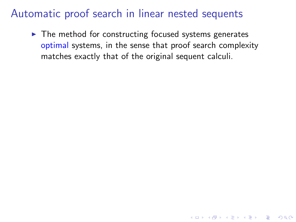<span id="page-35-0"></span> $\blacktriangleright$  The method for constructing focused systems generates optimal systems, in the sense that proof search complexity matches exactly that of the original sequent calculi.

**K ロ ▶ K @ ▶ K 할 X X 할 X 및 할 X X Q Q O**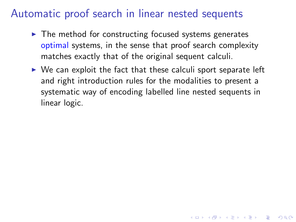- $\blacktriangleright$  The method for constructing focused systems generates optimal systems, in the sense that proof search complexity matches exactly that of the original sequent calculi.
- $\triangleright$  We can exploit the fact that these calculi sport separate left and right introduction rules for the modalities to present a systematic way of encoding labelled line nested sequents in linear logic.

4 D > 4 P + 4 B + 4 B + B + 9 Q O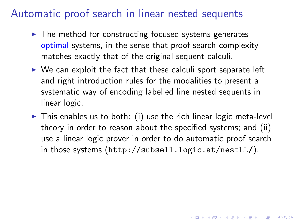- $\blacktriangleright$  The method for constructing focused systems generates optimal systems, in the sense that proof search complexity matches exactly that of the original sequent calculi.
- $\triangleright$  We can exploit the fact that these calculi sport separate left and right introduction rules for the modalities to present a systematic way of encoding labelled line nested sequents in linear logic.
- $\triangleright$  This enables us to both: (i) use the rich linear logic meta-level theory in order to reason about the specified systems; and (ii) use a linear logic prover in order to do automatic proof search in those systems (<http://subsell.logic.at/nestLL/>).

4 D > 4 P + 4 B + 4 B + B + 9 Q O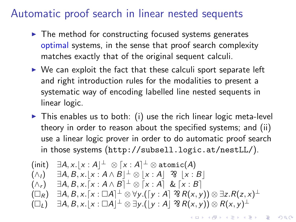- <span id="page-38-0"></span> $\blacktriangleright$  The method for constructing focused systems generates optimal systems, in the sense that proof search complexity matches exactly that of the original sequent calculi.
- $\triangleright$  We can exploit the fact that these calculi sport separate left and right introduction rules for the modalities to present a systematic way of encoding labelled line nested sequents in linear logic.
- $\triangleright$  This enables us to both: (i) use the rich linear logic meta-level theory in order to reason about the specified systems; and (ii) use a linear logic prover in order to do automatic proof search in those systems (<http://subsell.logic.at/nestLL/>).

$$
\begin{array}{ll}\n\text{(init)} & \exists A, x. \lfloor x : A \rfloor^{\perp} \otimes \lceil x : A \rceil^{\perp} \otimes \text{atomic}(A) \\
(\wedge_I) & \exists A, B, x. \lfloor x : A \wedge B \rfloor^{\perp} \otimes \lceil x : A \rceil \otimes \lceil x : B \rceil \\
(\wedge_r) & \exists A, B, x. \lceil x : A \wedge B \rceil^{\perp} \otimes \lceil x : A \rceil \& \lceil x : B \rceil \\
(\square_R) & \exists A, B, x. \lceil x : \square A \rceil^{\perp} \otimes \forall y. ([y : A] \otimes R(x, y)) \otimes \exists z. R(z, x)^{\perp} \\
(\square_L) & \exists A, B, x. \lceil x : \square A \rceil^{\perp} \otimes \exists y. ([y : A] \otimes R(x, y)) \otimes R(x, y)^{\perp}\n\end{array}
$$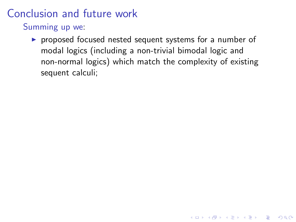<span id="page-39-0"></span>Summing up we:

 $\triangleright$  proposed focused nested sequent systems for a number of modal logics (including a non-trivial bimodal logic and non-normal logics) which match the complexity of existing sequent calculi;

K ロ ▶ K @ ▶ K 할 > K 할 > 1 할 > 1 이익어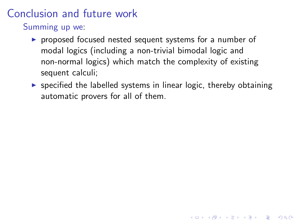Summing up we:

- $\triangleright$  proposed focused nested sequent systems for a number of modal logics (including a non-trivial bimodal logic and non-normal logics) which match the complexity of existing sequent calculi;
- $\triangleright$  specified the labelled systems in linear logic, thereby obtaining automatic provers for all of them.

4 D > 4 P + 4 B + 4 B + B + 9 Q O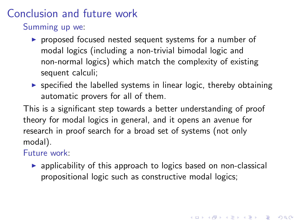Summing up we:

- $\triangleright$  proposed focused nested sequent systems for a number of modal logics (including a non-trivial bimodal logic and non-normal logics) which match the complexity of existing sequent calculi;
- $\triangleright$  specified the labelled systems in linear logic, thereby obtaining automatic provers for all of them.

This is a significant step towards a better understanding of proof theory for modal logics in general, and it opens an avenue for research in proof search for a broad set of systems (not only modal).

#### Future work:

 $\triangleright$  applicability of this approach to logics based on non-classical propositional logic such as constructive modal logics;

4 D > 4 P + 4 B + 4 B + B + 9 Q O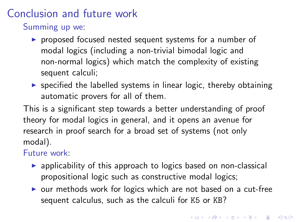<span id="page-42-0"></span>Summing up we:

- $\triangleright$  proposed focused nested sequent systems for a number of modal logics (including a non-trivial bimodal logic and non-normal logics) which match the complexity of existing sequent calculi;
- $\triangleright$  specified the labelled systems in linear logic, thereby obtaining automatic provers for all of them.

This is a significant step towards a better understanding of proof theory for modal logics in general, and it opens an avenue for research in proof search for a broad set of systems (not only modal).

Future work:

- $\triangleright$  applicability of this approach to logics based on non-classical propositional logic such as constructive modal logics;
- $\triangleright$  our methods work for logics which are not based on a cut-free sequent calculus, such as the calculi for K5 or KB?